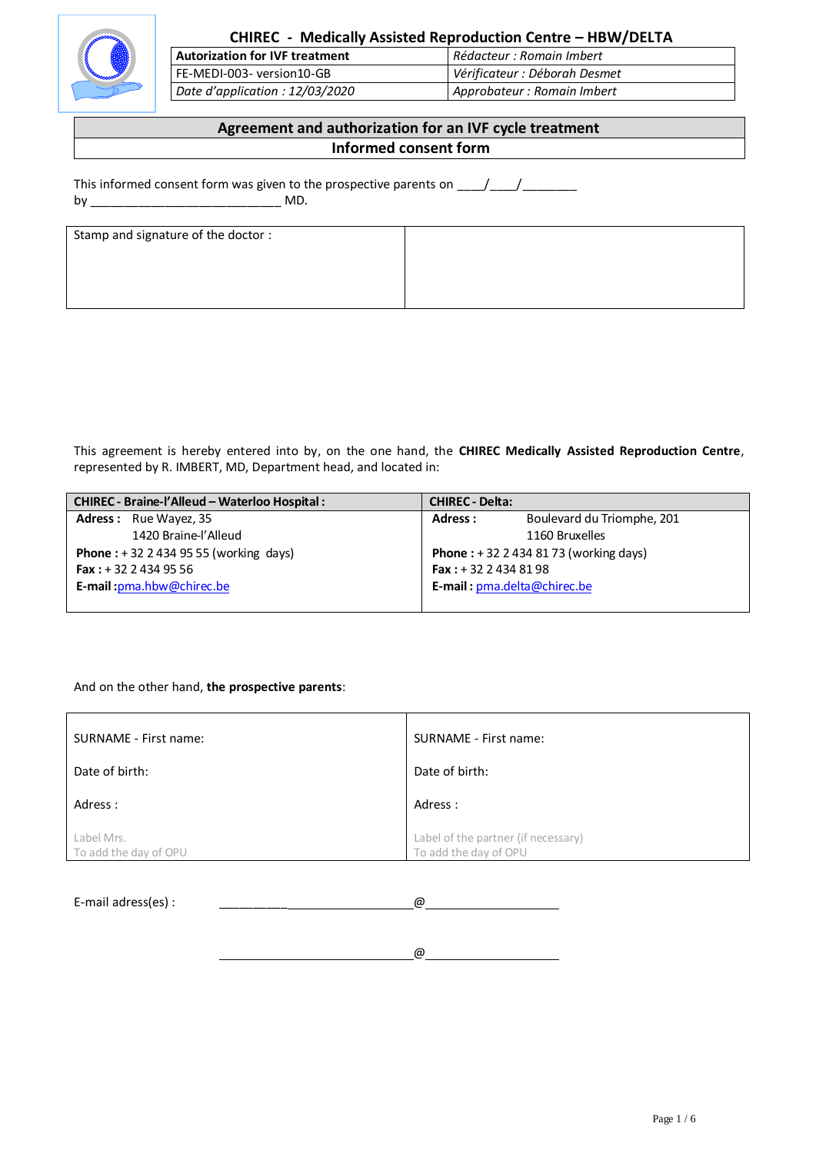

# **CHIREC - Medically Assisted Reproduction Centre – HBW/DELTA**

**Autorization for IVF treatment** *Rédacteur : Romain Imbert* FE-MEDI-003- version10-GB *Vérificateur : Déborah Desmet Date d'application : 12/03/2020 Approbateur : Romain Imbert*

# **Agreement and authorization for an IVF cycle treatment Informed consent form**

This informed consent form was given to the prospective parents on  $\frac{1}{\frac{1}{1-\frac{1}{1-\frac{1}{1-\frac{1}{1-\frac{1}{1-\frac{1}{1-\frac{1}{1-\frac{1}{1-\frac{1}{1-\frac{1}{1-\frac{1}{1-\frac{1}{1-\frac{1}{1-\frac{1}{1-\frac{1}{1-\frac{1}{1-\frac{1}{1-\frac{1}{1-\frac{1}{1-\frac{1}{1-\frac{1}{1-\frac{1}{1-\frac{1}{1-\frac{1}{1-\frac{1}{$ by \_\_\_\_\_\_\_\_\_\_\_\_\_\_\_\_\_\_\_\_\_\_\_\_\_\_\_\_ MD.

| Stamp and signature of the doctor : |  |
|-------------------------------------|--|
|                                     |  |
|                                     |  |
|                                     |  |
|                                     |  |
|                                     |  |
|                                     |  |
|                                     |  |
|                                     |  |

This agreement is hereby entered into by, on the one hand, the **CHIREC Medically Assisted Reproduction Centre**, represented by R. IMBERT, MD, Department head, and located in:

| CHIREC - Braine-l'Alleud - Waterloo Hospital :  | <b>CHIREC - Delta:</b>                      |
|-------------------------------------------------|---------------------------------------------|
| <b>Adress:</b> Rue Wayez, 35                    | Boulevard du Triomphe, 201<br>Adress:       |
| 1420 Braine-l'Alleud                            | 1160 Bruxelles                              |
| <b>Phone</b> : $+32$ 2 434 95 55 (working days) | <b>Phone</b> : $+3224348173$ (working days) |
| <b>Fax:</b> $+32$ 2 434 95 56                   | <b>Fax</b> : $+32$ 2 434 81 98              |
| E-mail: pma.hbw@chirec.be                       | E-mail: pma.delta@chirec.be                 |
|                                                 |                                             |

## And on the other hand, **the prospective parents**:

| SURNAME - First name:               | SURNAME - First name:                                        |
|-------------------------------------|--------------------------------------------------------------|
| Date of birth:                      | Date of birth:                                               |
| Adress:                             | Adress:                                                      |
| Label Mrs.<br>To add the day of OPU | Label of the partner (if necessary)<br>To add the day of OPU |

E-mail adress(es) : \_\_\_\_\_\_\_\_\_\_ @

@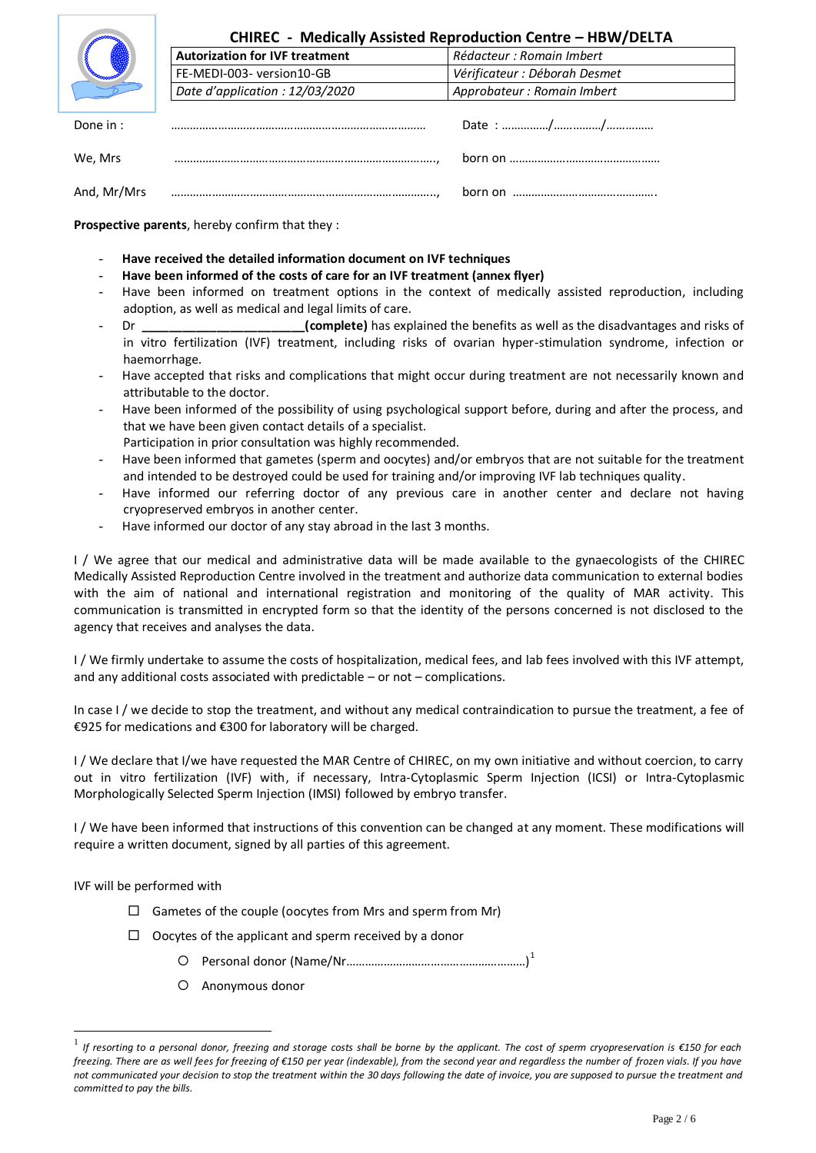

## **CHIREC - Medically Assisted Reproduction Centre – HBW/DELTA**

|             | <b>FL-IVILDI-003-VEISIOILLO-GD</b> | vermaleur : Deborum Desmet  |
|-------------|------------------------------------|-----------------------------|
|             | Date d'application : 12/03/2020    | Approbateur : Romain Imbert |
|             |                                    |                             |
| Done in:    |                                    |                             |
| We. Mrs     |                                    |                             |
| And, Mr/Mrs |                                    |                             |

**Autorization for IVF treatment** *Rédacteur : Romain Imbert* FE-MEDI-003- version10-GB *Vérificateur : Déborah Desmet*

**Prospective parents**, hereby confirm that they :

- **Have received the detailed information document on IVF techniques**
- **Have been informed of the costs of care for an IVF treatment (annex flyer)**
- Have been informed on treatment options in the context of medically assisted reproduction, including adoption, as well as medical and legal limits of care.
- Dr **Examplete**) has explained the benefits as well as the disadvantages and risks of in vitro fertilization (IVF) treatment, including risks of ovarian hyper-stimulation syndrome, infection or haemorrhage.
- Have accepted that risks and complications that might occur during treatment are not necessarily known and attributable to the doctor.
- Have been informed of the possibility of using psychological support before, during and after the process, and that we have been given contact details of a specialist.
- Participation in prior consultation was highly recommended.
- Have been informed that gametes (sperm and oocytes) and/or embryos that are not suitable for the treatment and intended to be destroyed could be used for training and/or improving IVF lab techniques quality.
- Have informed our referring doctor of any previous care in another center and declare not having cryopreserved embryos in another center.
- Have informed our doctor of any stay abroad in the last 3 months.

I / We agree that our medical and administrative data will be made available to the gynaecologists of the CHIREC Medically Assisted Reproduction Centre involved in the treatment and authorize data communication to external bodies with the aim of national and international registration and monitoring of the quality of MAR activity. This communication is transmitted in encrypted form so that the identity of the persons concerned is not disclosed to the agency that receives and analyses the data.

I / We firmly undertake to assume the costs of hospitalization, medical fees, and lab fees involved with this IVF attempt, and any additional costs associated with predictable – or not – complications.

In case I / we decide to stop the treatment, and without any medical contraindication to pursue the treatment, a fee of €925 for medications and €300 for laboratory will be charged.

I / We declare that I/we have requested the MAR Centre of CHIREC, on my own initiative and without coercion, to carry out in vitro fertilization (IVF) with, if necessary, Intra-Cytoplasmic Sperm Injection (ICSI) or Intra-Cytoplasmic Morphologically Selected Sperm Injection (IMSI) followed by embryo transfer.

I / We have been informed that instructions of this convention can be changed at any moment. These modifications will require a written document, signed by all parties of this agreement.

IVF will be performed with

<u>.</u>

- $\Box$  Gametes of the couple (oocytes from Mrs and sperm from Mr)
- $\Box$  Oocytes of the applicant and sperm received by a donor
	- Personal donor (Name/Nr…………………………………………………) 1
	- Anonymous donor

<sup>1</sup> *If resorting to a personal donor, freezing and storage costs shall be borne by the applicant. The cost of sperm cryopreservation is €150 for each freezing. There are as well fees for freezing of €150 per year (indexable), from the second year and regardless the number of frozen vials. If you have not communicated your decision to stop the treatment within the 30 days following the date of invoice, you are supposed to pursue the treatment and committed to pay the bills.*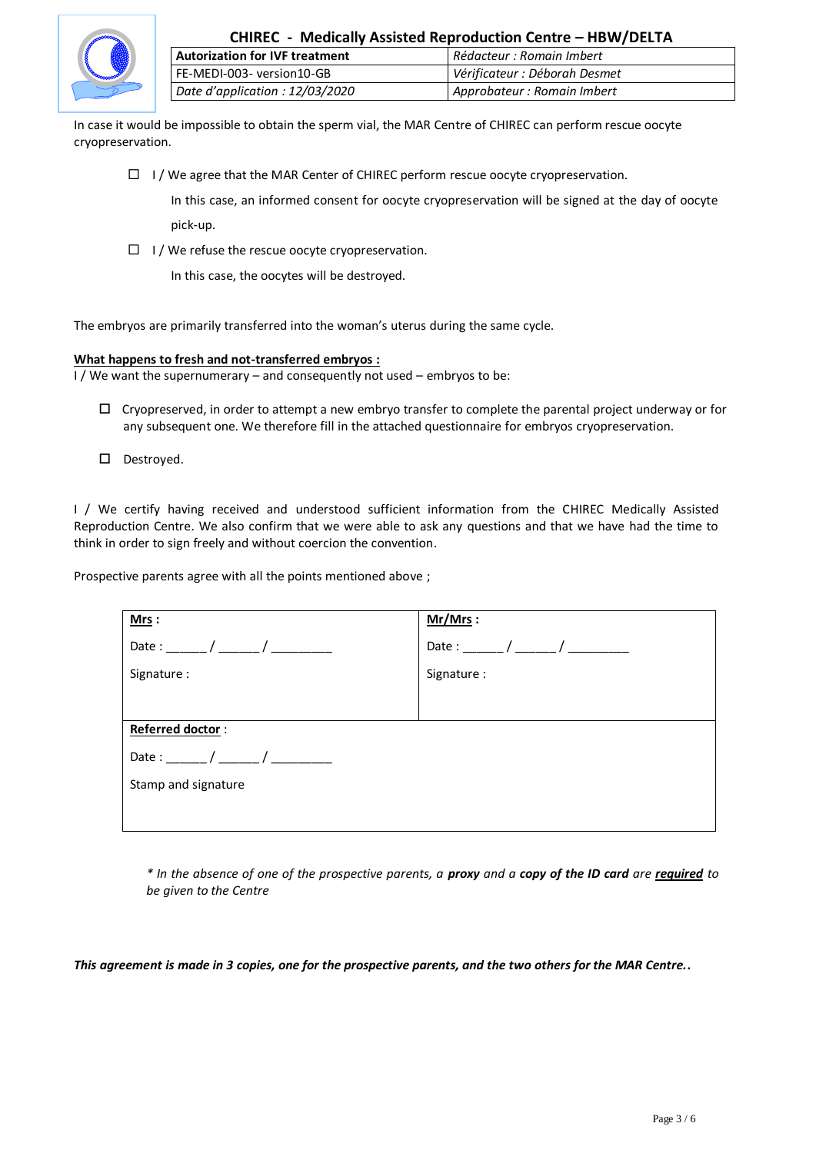

| CHIREC - Medically Assisted Reproduction Centre - HBW/DELTA |                               |
|-------------------------------------------------------------|-------------------------------|
| <b>Autorization for IVF treatment</b>                       | Rédacteur : Romain Imbert     |
| FE-MEDI-003- version10-GB                                   | Vérificateur : Déborah Desmet |
| Date d'application : 12/03/2020                             | Approbateur : Romain Imbert   |

In case it would be impossible to obtain the sperm vial, the MAR Centre of CHIREC can perform rescue oocyte cryopreservation.

 $\Box$  I / We agree that the MAR Center of CHIREC perform rescue oocyte cryopreservation.

In this case, an informed consent for oocyte cryopreservation will be signed at the day of oocyte pick-up.

 $\Box$  I / We refuse the rescue oocyte cryopreservation.

In this case, the oocytes will be destroyed.

The embryos are primarily transferred into the woman's uterus during the same cycle.

#### **What happens to fresh and not-transferred embryos :**

I / We want the supernumerary – and consequently not used – embryos to be:

- $\Box$  Cryopreserved, in order to attempt a new embryo transfer to complete the parental project underway or for any subsequent one. We therefore fill in the attached questionnaire for embryos cryopreservation.
- D Destroyed.

I / We certify having received and understood sufficient information from the CHIREC Medically Assisted Reproduction Centre. We also confirm that we were able to ask any questions and that we have had the time to think in order to sign freely and without coercion the convention.

Prospective parents agree with all the points mentioned above;

| Mrs:                | $Mr/Mrs$ :  |
|---------------------|-------------|
| Date: $/$ /         |             |
| Signature :         | Signature : |
|                     |             |
| Referred doctor:    |             |
| Date: $/$           |             |
| Stamp and signature |             |
|                     |             |
|                     |             |

*\* In the absence of one of the prospective parents, a proxy and a copy of the ID card are required to be given to the Centre* 

*This agreement is made in 3 copies, one for the prospective parents, and the two others for the MAR Centre..*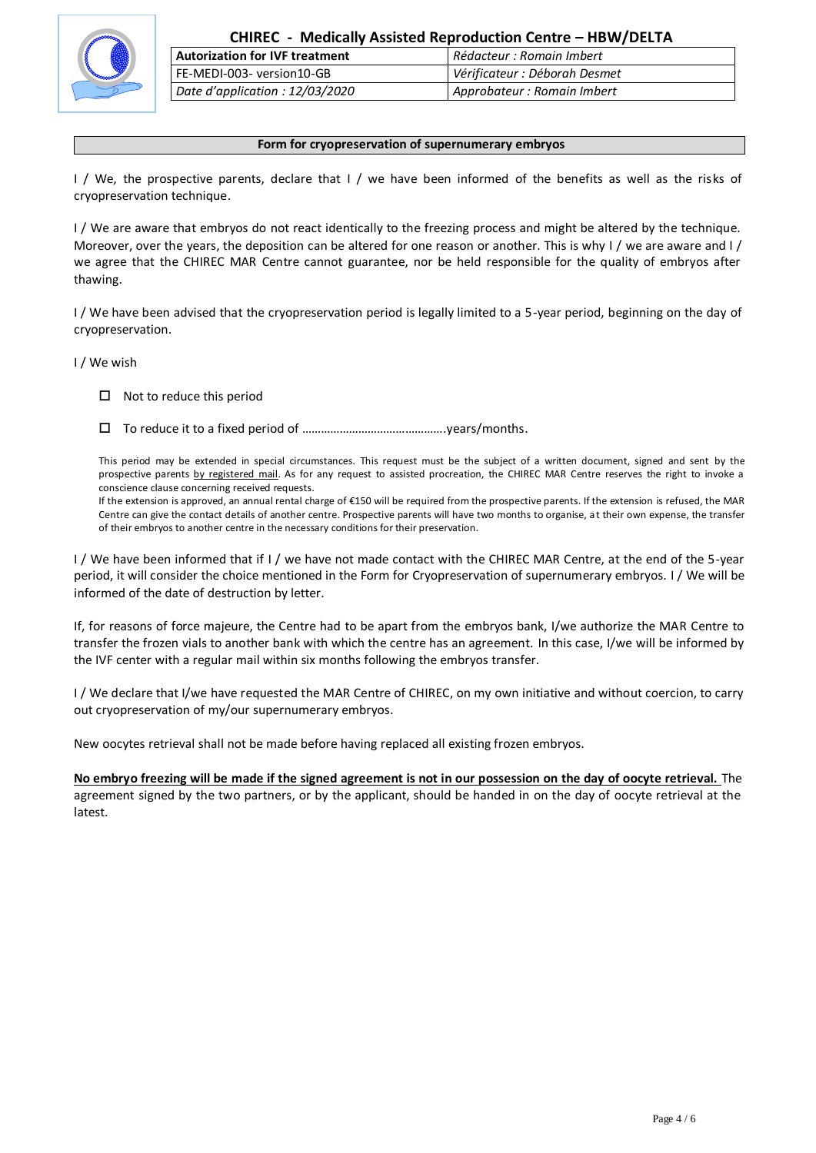

| <b>Autorization for IVF treatment</b> | Rédacteur : Romain Imbert     |
|---------------------------------------|-------------------------------|
| FE-MEDI-003- version10-GB             | Vérificateur : Déborah Desmet |
| Date d'application : 12/03/2020       | Approbateur : Romain Imbert   |

#### **Form for cryopreservation of supernumerary embryos**

I / We, the prospective parents, declare that I / we have been informed of the benefits as well as the risks of cryopreservation technique.

I / We are aware that embryos do not react identically to the freezing process and might be altered by the technique. Moreover, over the years, the deposition can be altered for one reason or another. This is why I / we are aware and I / we agree that the CHIREC MAR Centre cannot guarantee, nor be held responsible for the quality of embryos after thawing.

I / We have been advised that the cryopreservation period is legally limited to a 5-year period, beginning on the day of cryopreservation.

I / We wish

 $\Box$  Not to reduce this period

To reduce it to a fixed period of ……………………………………….years/months.

This period may be extended in special circumstances. This request must be the subject of a written document, signed and sent by the prospective parents by registered mail. As for any request to assisted procreation, the CHIREC MAR Centre reserves the right to invoke a conscience clause concerning received requests.

If the extension is approved, an annual rental charge of €150 will be required from the prospective parents. If the extension is refused, the MAR Centre can give the contact details of another centre. Prospective parents will have two months to organise, at their own expense, the transfer of their embryos to another centre in the necessary conditions for their preservation.

I / We have been informed that if I / we have not made contact with the CHIREC MAR Centre, at the end of the 5-year period, it will consider the choice mentioned in the Form for Cryopreservation of supernumerary embryos. I / We will be informed of the date of destruction by letter.

If, for reasons of force majeure, the Centre had to be apart from the embryos bank, I/we authorize the MAR Centre to transfer the frozen vials to another bank with which the centre has an agreement. In this case, I/we will be informed by the IVF center with a regular mail within six months following the embryos transfer.

I / We declare that I/we have requested the MAR Centre of CHIREC, on my own initiative and without coercion, to carry out cryopreservation of my/our supernumerary embryos.

New oocytes retrieval shall not be made before having replaced all existing frozen embryos.

**No embryo freezing will be made if the signed agreement is not in our possession on the day of oocyte retrieval.** The agreement signed by the two partners, or by the applicant, should be handed in on the day of oocyte retrieval at the latest.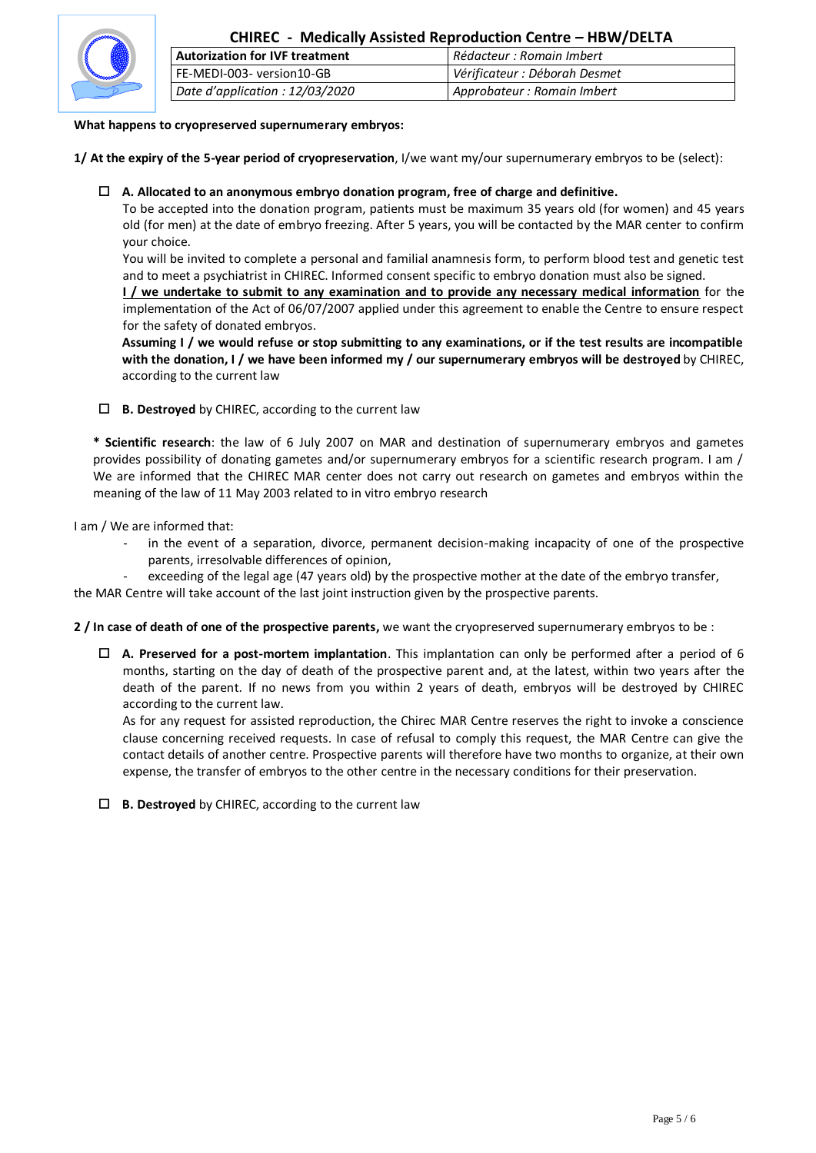

# **CHIREC - Medically Assisted Reproduction Centre – HBW/DELTA**

| <b>Autorization for IVF treatment</b> | Rédacteur : Romain Imbert     |
|---------------------------------------|-------------------------------|
| l FE-MEDI-003- version10-GB           | Vérificateur : Déborah Desmet |
| Date d'application : 12/03/2020       | Approbateur: Romain Imbert    |

### **What happens to cryopreserved supernumerary embryos:**

**1/ At the expiry of the 5-year period of cryopreservation**, I/we want my/our supernumerary embryos to be (select):

### **A. Allocated to an anonymous embryo donation program, free of charge and definitive.**

To be accepted into the donation program, patients must be maximum 35 years old (for women) and 45 years old (for men) at the date of embryo freezing. After 5 years, you will be contacted by the MAR center to confirm your choice.

You will be invited to complete a personal and familial anamnesis form, to perform blood test and genetic test and to meet a psychiatrist in CHIREC. Informed consent specific to embryo donation must also be signed.

**I / we undertake to submit to any examination and to provide any necessary medical information** for the implementation of the Act of 06/07/2007 applied under this agreement to enable the Centre to ensure respect for the safety of donated embryos.

**Assuming I / we would refuse or stop submitting to any examinations, or if the test results are incompatible with the donation, I / we have been informed my / our supernumerary embryos will be destroyed** by CHIREC, according to the current law

#### **B. Destroyed** by CHIREC, according to the current law

**\* Scientific research**: the law of 6 July 2007 on MAR and destination of supernumerary embryos and gametes provides possibility of donating gametes and/or supernumerary embryos for a scientific research program. I am / We are informed that the CHIREC MAR center does not carry out research on gametes and embryos within the meaning of the law of 11 May 2003 related to in vitro embryo research

I am / We are informed that:

- in the event of a separation, divorce, permanent decision-making incapacity of one of the prospective parents, irresolvable differences of opinion,
- exceeding of the legal age (47 years old) by the prospective mother at the date of the embryo transfer, the MAR Centre will take account of the last joint instruction given by the prospective parents.

**2 / In case of death of one of the prospective parents,** we want the cryopreserved supernumerary embryos to be :

 **A. Preserved for a post-mortem implantation**. This implantation can only be performed after a period of 6 months, starting on the day of death of the prospective parent and, at the latest, within two years after the death of the parent. If no news from you within 2 years of death, embryos will be destroyed by CHIREC according to the current law.

As for any request for assisted reproduction, the Chirec MAR Centre reserves the right to invoke a conscience clause concerning received requests. In case of refusal to comply this request, the MAR Centre can give the contact details of another centre. Prospective parents will therefore have two months to organize, at their own expense, the transfer of embryos to the other centre in the necessary conditions for their preservation.

**B. Destroyed** by CHIREC, according to the current law